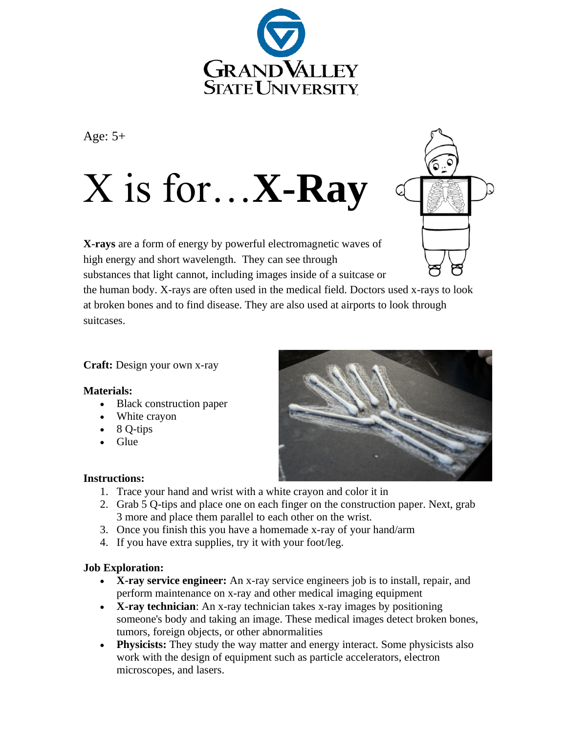

Age:  $5+$ 

# X is for…**X-Ray**



**X-rays** are a form of energy by powerful electromagnetic waves of high energy and short wavelength. They can see through substances that light cannot, including images inside of a suitcase or

the human body. X-rays are often used in the medical field. Doctors used x-rays to look at broken bones and to find disease. They are also used at airports to look through suitcases.

## **Craft:** Design your own x-ray

### **Materials:**

- Black construction paper
- White crayon
- 8 Q-tips
- Glue



### **Instructions:**

- 1. Trace your hand and wrist with a white crayon and color it in
- 2. Grab 5 Q-tips and place one on each finger on the construction paper. Next, grab 3 more and place them parallel to each other on the wrist.
- 3. Once you finish this you have a homemade x-ray of your hand/arm
- 4. If you have extra supplies, try it with your foot/leg.

### **Job Exploration:**

- **X-ray service engineer:** An x-ray service engineers job is to install, repair, and perform maintenance on x-ray and other medical imaging equipment
- **X-ray technician**: An x-ray technician takes x-ray images by positioning someone's body and taking an image. These medical images detect broken bones, tumors, foreign objects, or other abnormalities
- **Physicists:** They study the way matter and energy interact. Some physicists also work with the design of equipment such as particle accelerators, electron microscopes, and lasers.